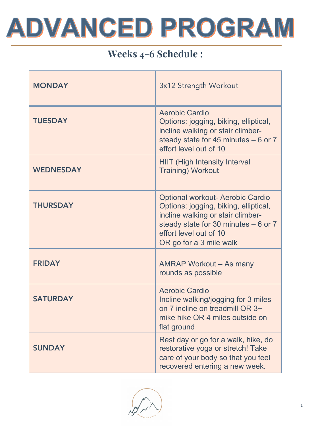

# Weeks 4-6 Schedule :

| <b>MONDAY</b>    | 3x12 Strength Workout                                                                                                                                                                                               |
|------------------|---------------------------------------------------------------------------------------------------------------------------------------------------------------------------------------------------------------------|
| <b>TUESDAY</b>   | <b>Aerobic Cardio</b><br>Options: jogging, biking, elliptical,<br>incline walking or stair climber-<br>steady state for 45 minutes $-6$ or 7<br>effort level out of 10                                              |
| <b>WEDNESDAY</b> | <b>HIIT (High Intensity Interval</b><br><b>Training) Workout</b>                                                                                                                                                    |
| <b>THURSDAY</b>  | <b>Optional workout- Aerobic Cardio</b><br>Options: jogging, biking, elliptical,<br>incline walking or stair climber-<br>steady state for 30 minutes $-6$ or 7<br>effort level out of 10<br>OR go for a 3 mile walk |
| <b>FRIDAY</b>    | AMRAP Workout – As many<br>rounds as possible                                                                                                                                                                       |
| <b>SATURDAY</b>  | <b>Aerobic Cardio</b><br>Incline walking/jogging for 3 miles<br>on 7 incline on treadmill OR 3+<br>mike hike OR 4 miles outside on<br>flat ground                                                                   |
| <b>SUNDAY</b>    | Rest day or go for a walk, hike, do<br>restorative yoga or stretch! Take<br>care of your body so that you feel<br>recovered entering a new week.                                                                    |

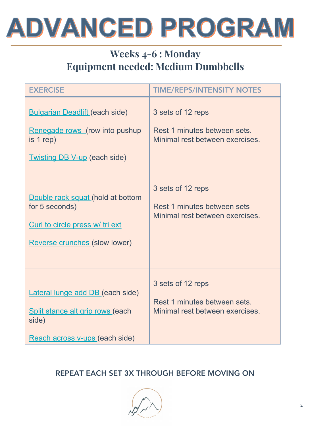

# Weeks 4-6 : Monday Equipment needed: Medium Dumbbells

| <b>EXERCISE</b>                                                                                                                | <b>TIME/REPS/INTENSITY NOTES</b>                                                     |
|--------------------------------------------------------------------------------------------------------------------------------|--------------------------------------------------------------------------------------|
| <b>Bulgarian Deadlift (each side)</b><br>Renegade rows (row into pushup<br>is $1 rep$ )<br><b>Twisting DB V-up (each side)</b> | 3 sets of 12 reps<br>Rest 1 minutes between sets.<br>Minimal rest between exercises. |
| Double rack squat (hold at bottom<br>for 5 seconds)<br>Curl to circle press w/ tri ext<br>Reverse crunches (slow lower)        | 3 sets of 12 reps<br>Rest 1 minutes between sets<br>Minimal rest between exercises.  |
| Lateral lunge add DB (each side)<br>Split stance alt grip rows (each<br>side)<br>Reach across v-ups (each side)                | 3 sets of 12 reps<br>Rest 1 minutes between sets.<br>Minimal rest between exercises. |

#### REPEAT EACH SET 3X THROUGH BEFORE MOVING ON

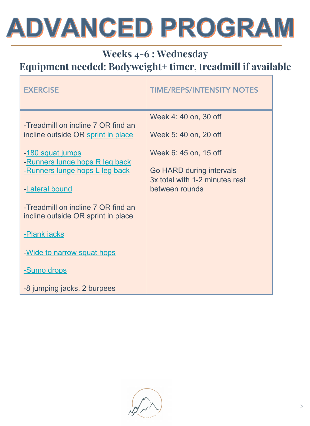# **ADVANCED PROGRAM**

# Weeks 4-6 : Wednesday Equipment needed: Bodyweight+ timer, treadmill if available

| <b>EXERCISE</b>                                                                                                                                                                                                                                                                                                                                            | <b>TIME/REPS/INTENSITY NOTES</b>                                                                                                                       |
|------------------------------------------------------------------------------------------------------------------------------------------------------------------------------------------------------------------------------------------------------------------------------------------------------------------------------------------------------------|--------------------------------------------------------------------------------------------------------------------------------------------------------|
| -Treadmill on incline 7 OR find an<br>incline outside OR sprint in place<br>-180 squat jumps<br>-Runners lunge hops R leg back<br>-Runners lunge hops L leg back<br>-Lateral bound<br>-Treadmill on incline 7 OR find an<br>incline outside OR sprint in place<br>-Plank jacks<br>-Wide to narrow squat hops<br>-Sumo drops<br>-8 jumping jacks, 2 burpees | Week 4: 40 on, 30 off<br>Week 5:40 on, 20 off<br>Week 6: 45 on, 15 off<br>Go HARD during intervals<br>3x total with 1-2 minutes rest<br>between rounds |